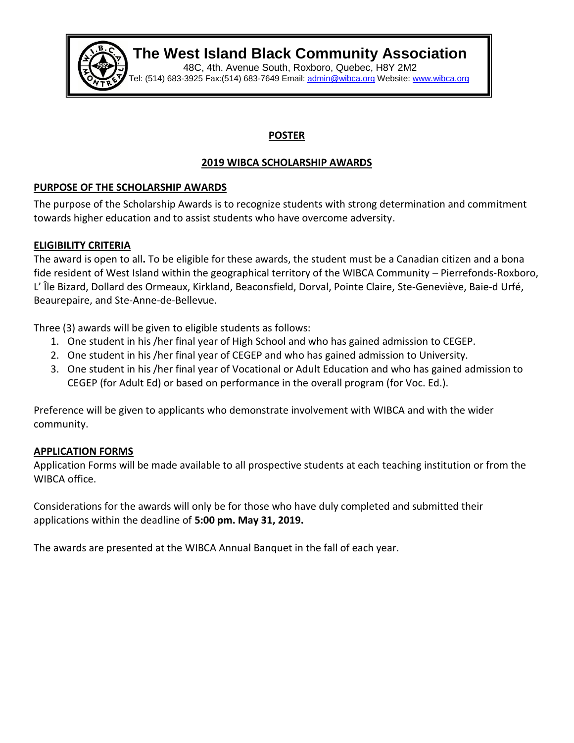

# **The West Island Black Community Association**

48C, 4th. Avenue South, Roxboro, Quebec, H8Y 2M2 Tel: (514) 683-3925 Fax:(514) 683-7649 Email: <u>[admin@wibca.org](mailto:admin@wibca.org)</u> Website: [www.wibca.org](http://www.wibca.org/)

### **POSTER**

## **2019 WIBCA SCHOLARSHIP AWARDS**

## **PURPOSE OF THE SCHOLARSHIP AWARDS**

The purpose of the Scholarship Awards is to recognize students with strong determination and commitment towards higher education and to assist students who have overcome adversity.

## **ELIGIBILITY CRITERIA**

The award is open to all**.** To be eligible for these awards, the student must be a Canadian citizen and a bona fide resident of West Island within the geographical territory of the WIBCA Community – Pierrefonds-Roxboro, L' Île Bizard, Dollard des Ormeaux, Kirkland, Beaconsfield, Dorval, Pointe Claire, Ste-Geneviève, Baie-d Urfé, Beaurepaire, and Ste-Anne-de-Bellevue.

Three (3) awards will be given to eligible students as follows:

- 1. One student in his /her final year of High School and who has gained admission to CEGEP.
- 2. One student in his /her final year of CEGEP and who has gained admission to University.
- 3. One student in his /her final year of Vocational or Adult Education and who has gained admission to CEGEP (for Adult Ed) or based on performance in the overall program (for Voc. Ed.).

Preference will be given to applicants who demonstrate involvement with WIBCA and with the wider community.

### **APPLICATION FORMS**

Application Forms will be made available to all prospective students at each teaching institution or from the WIBCA office.

Considerations for the awards will only be for those who have duly completed and submitted their applications within the deadline of **5:00 pm. May 31, 2019.**

The awards are presented at the WIBCA Annual Banquet in the fall of each year.